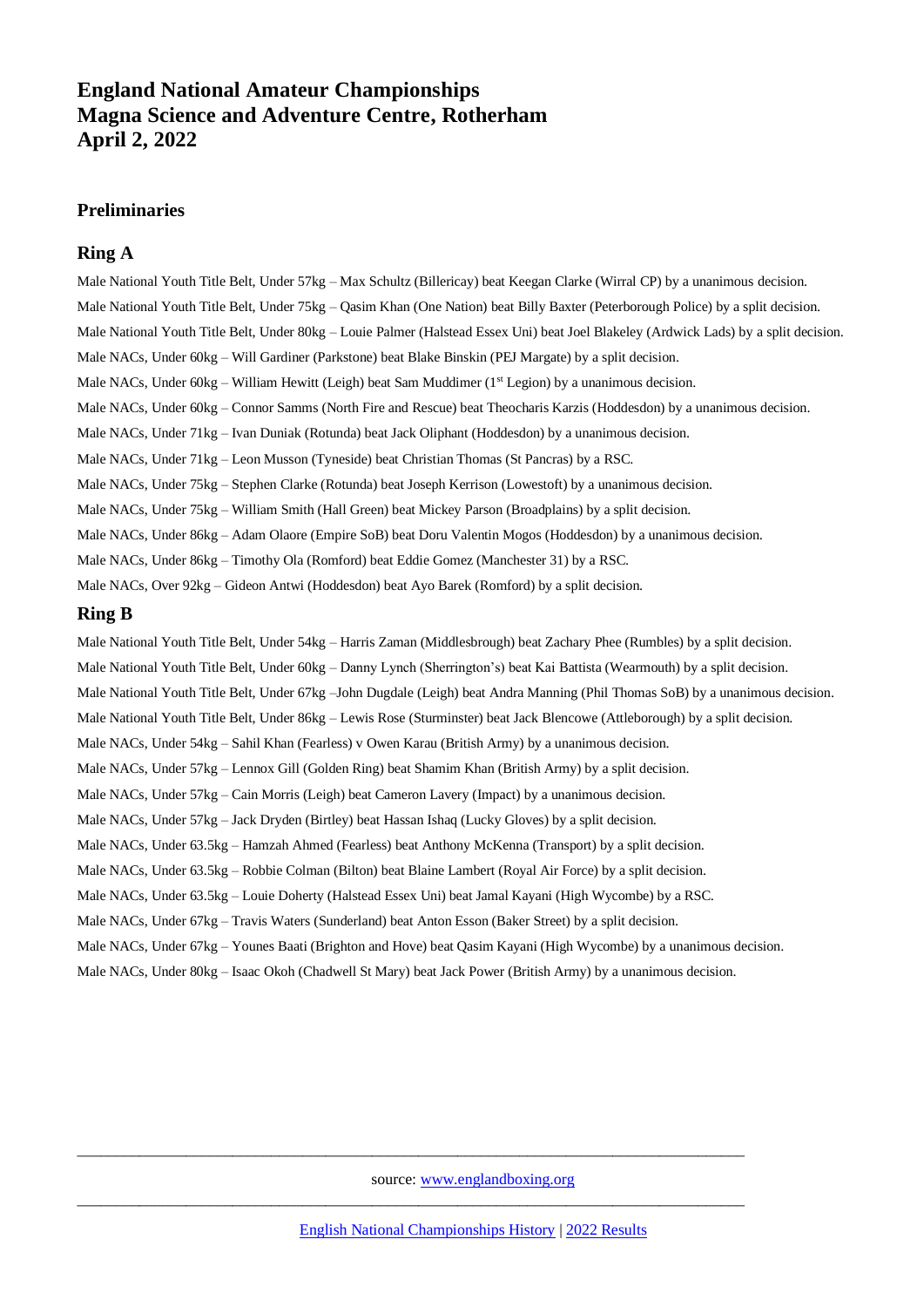# **England National Amateur Championships Magna Science and Adventure Centre, Rotherham April 2, 2022**

### **Preliminaries**

### **Ring A**

Male National Youth Title Belt, Under 57kg – Max Schultz (Billericay) beat Keegan Clarke (Wirral CP) by a unanimous decision. Male National Youth Title Belt, Under 75kg – Qasim Khan (One Nation) beat Billy Baxter (Peterborough Police) by a split decision. Male National Youth Title Belt, Under 80kg – Louie Palmer (Halstead Essex Uni) beat Joel Blakeley (Ardwick Lads) by a split decision. Male NACs, Under 60kg – Will Gardiner (Parkstone) beat Blake Binskin (PEJ Margate) by a split decision. Male NACs, Under 60kg – William Hewitt (Leigh) beat Sam Muddimer (1st Legion) by a unanimous decision. Male NACs, Under 60kg – Connor Samms (North Fire and Rescue) beat Theocharis Karzis (Hoddesdon) by a unanimous decision. Male NACs, Under 71kg – Ivan Duniak (Rotunda) beat Jack Oliphant (Hoddesdon) by a unanimous decision. Male NACs, Under 71kg – Leon Musson (Tyneside) beat Christian Thomas (St Pancras) by a RSC. Male NACs, Under 75kg – Stephen Clarke (Rotunda) beat Joseph Kerrison (Lowestoft) by a unanimous decision. Male NACs, Under 75kg – William Smith (Hall Green) beat Mickey Parson (Broadplains) by a split decision. Male NACs, Under 86kg – Adam Olaore (Empire SoB) beat Doru Valentin Mogos (Hoddesdon) by a unanimous decision. Male NACs, Under 86kg – Timothy Ola (Romford) beat Eddie Gomez (Manchester 31) by a RSC. Male NACs, Over 92kg – Gideon Antwi (Hoddesdon) beat Ayo Barek (Romford) by a split decision.

#### **Ring B**

Male National Youth Title Belt, Under 54kg – Harris Zaman (Middlesbrough) beat Zachary Phee (Rumbles) by a split decision. Male National Youth Title Belt, Under 60kg – Danny Lynch (Sherrington's) beat Kai Battista (Wearmouth) by a split decision. Male National Youth Title Belt, Under 67kg –John Dugdale (Leigh) beat Andra Manning (Phil Thomas SoB) by a unanimous decision. Male National Youth Title Belt, Under 86kg – Lewis Rose (Sturminster) beat Jack Blencowe (Attleborough) by a split decision. Male NACs, Under 54kg – Sahil Khan (Fearless) v Owen Karau (British Army) by a unanimous decision. Male NACs, Under 57kg – Lennox Gill (Golden Ring) beat Shamim Khan (British Army) by a split decision. Male NACs, Under 57kg – Cain Morris (Leigh) beat Cameron Lavery (Impact) by a unanimous decision. Male NACs, Under 57kg – Jack Dryden (Birtley) beat Hassan Ishaq (Lucky Gloves) by a split decision. Male NACs, Under 63.5kg – Hamzah Ahmed (Fearless) beat Anthony McKenna (Transport) by a split decision. Male NACs, Under 63.5kg – Robbie Colman (Bilton) beat Blaine Lambert (Royal Air Force) by a split decision. Male NACs, Under 63.5kg – Louie Doherty (Halstead Essex Uni) beat Jamal Kayani (High Wycombe) by a RSC. Male NACs, Under 67kg – Travis Waters (Sunderland) beat Anton Esson (Baker Street) by a split decision. Male NACs, Under 67kg – Younes Baati (Brighton and Hove) beat Qasim Kayani (High Wycombe) by a unanimous decision. Male NACs, Under 80kg – Isaac Okoh (Chadwell St Mary) beat Jack Power (British Army) by a unanimous decision.

source: [www.englandboxing.org](http://www.englandboxing.org/)

\_\_\_\_\_\_\_\_\_\_\_\_\_\_\_\_\_\_\_\_\_\_\_\_\_\_\_\_\_\_\_\_\_\_\_\_\_\_\_\_\_\_\_\_\_\_\_\_\_\_\_\_\_\_\_\_\_\_\_\_\_\_\_\_\_\_\_\_\_\_\_\_\_\_\_\_\_\_\_\_\_\_\_\_\_\_

\_\_\_\_\_\_\_\_\_\_\_\_\_\_\_\_\_\_\_\_\_\_\_\_\_\_\_\_\_\_\_\_\_\_\_\_\_\_\_\_\_\_\_\_\_\_\_\_\_\_\_\_\_\_\_\_\_\_\_\_\_\_\_\_\_\_\_\_\_\_\_\_\_\_\_\_\_\_\_\_\_\_\_\_\_\_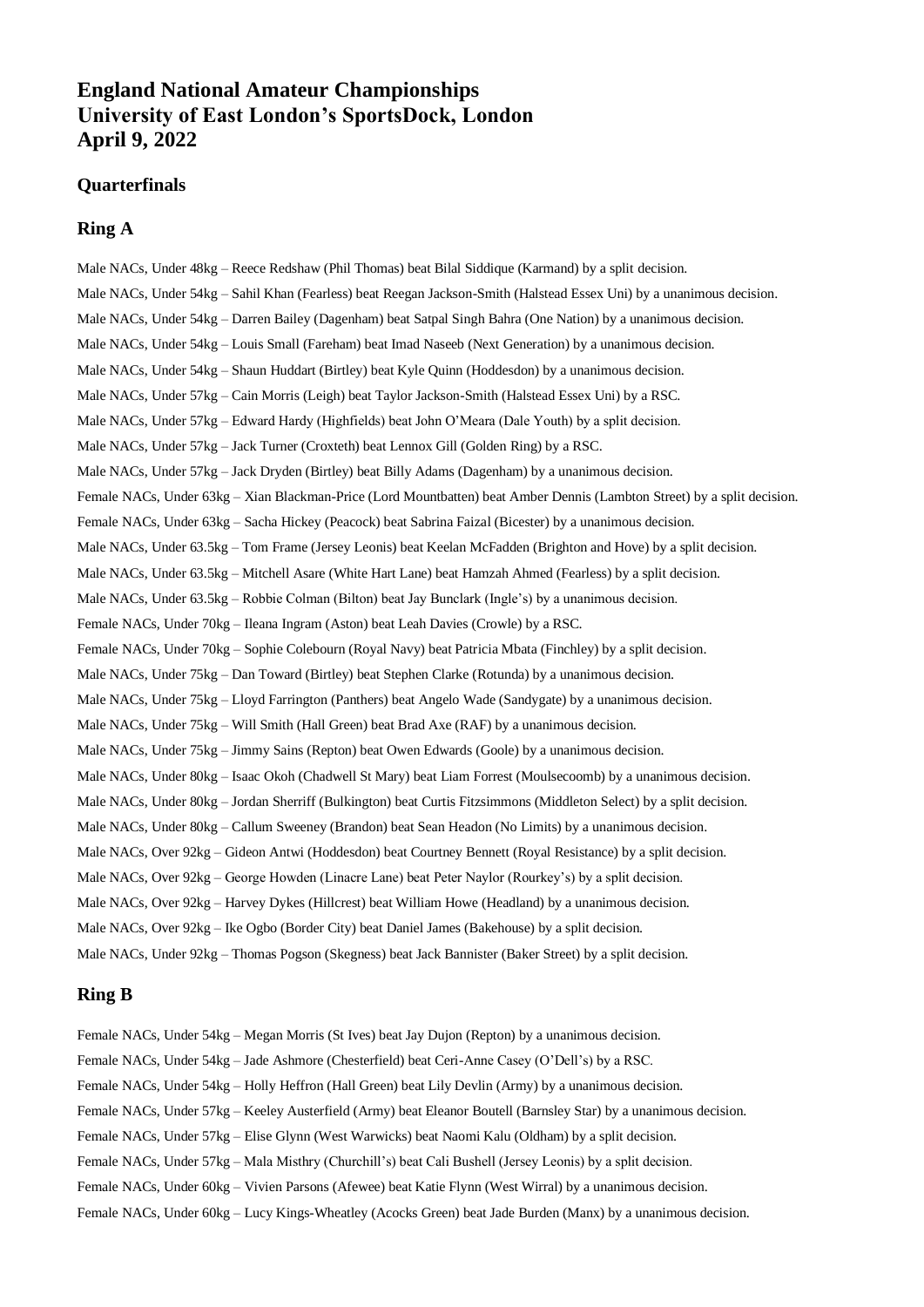## **England National Amateur Championships University of East London's SportsDock, London April 9, 2022**

#### **Quarterfinals**

#### **Ring A**

Male NACs, Under 48kg – Reece Redshaw (Phil Thomas) beat Bilal Siddique (Karmand) by a split decision. Male NACs, Under 54kg – Sahil Khan (Fearless) beat Reegan Jackson-Smith (Halstead Essex Uni) by a unanimous decision. Male NACs, Under 54kg – Darren Bailey (Dagenham) beat Satpal Singh Bahra (One Nation) by a unanimous decision. Male NACs, Under 54kg – Louis Small (Fareham) beat Imad Naseeb (Next Generation) by a unanimous decision. Male NACs, Under 54kg – Shaun Huddart (Birtley) beat Kyle Quinn (Hoddesdon) by a unanimous decision. Male NACs, Under 57kg – Cain Morris (Leigh) beat Taylor Jackson-Smith (Halstead Essex Uni) by a RSC. Male NACs, Under 57kg – Edward Hardy (Highfields) beat John O'Meara (Dale Youth) by a split decision. Male NACs, Under 57kg – Jack Turner (Croxteth) beat Lennox Gill (Golden Ring) by a RSC. Male NACs, Under 57kg – Jack Dryden (Birtley) beat Billy Adams (Dagenham) by a unanimous decision. Female NACs, Under 63kg – Xian Blackman-Price (Lord Mountbatten) beat Amber Dennis (Lambton Street) by a split decision. Female NACs, Under 63kg – Sacha Hickey (Peacock) beat Sabrina Faizal (Bicester) by a unanimous decision. Male NACs, Under 63.5kg – Tom Frame (Jersey Leonis) beat Keelan McFadden (Brighton and Hove) by a split decision. Male NACs, Under 63.5kg – Mitchell Asare (White Hart Lane) beat Hamzah Ahmed (Fearless) by a split decision. Male NACs, Under 63.5kg – Robbie Colman (Bilton) beat Jay Bunclark (Ingle's) by a unanimous decision. Female NACs, Under 70kg – Ileana Ingram (Aston) beat Leah Davies (Crowle) by a RSC. Female NACs, Under 70kg – Sophie Colebourn (Royal Navy) beat Patricia Mbata (Finchley) by a split decision. Male NACs, Under 75kg – Dan Toward (Birtley) beat Stephen Clarke (Rotunda) by a unanimous decision. Male NACs, Under 75kg – Lloyd Farrington (Panthers) beat Angelo Wade (Sandygate) by a unanimous decision. Male NACs, Under 75kg – Will Smith (Hall Green) beat Brad Axe (RAF) by a unanimous decision. Male NACs, Under 75kg – Jimmy Sains (Repton) beat Owen Edwards (Goole) by a unanimous decision. Male NACs, Under 80kg – Isaac Okoh (Chadwell St Mary) beat Liam Forrest (Moulsecoomb) by a unanimous decision. Male NACs, Under 80kg – Jordan Sherriff (Bulkington) beat Curtis Fitzsimmons (Middleton Select) by a split decision. Male NACs, Under 80kg – Callum Sweeney (Brandon) beat Sean Headon (No Limits) by a unanimous decision. Male NACs, Over 92kg – Gideon Antwi (Hoddesdon) beat Courtney Bennett (Royal Resistance) by a split decision. Male NACs, Over 92kg – George Howden (Linacre Lane) beat Peter Naylor (Rourkey's) by a split decision. Male NACs, Over 92kg – Harvey Dykes (Hillcrest) beat William Howe (Headland) by a unanimous decision. Male NACs, Over 92kg – Ike Ogbo (Border City) beat Daniel James (Bakehouse) by a split decision.

## Male NACs, Under 92kg – Thomas Pogson (Skegness) beat Jack Bannister (Baker Street) by a split decision.

#### **Ring B**

Female NACs, Under 54kg – Megan Morris (St Ives) beat Jay Dujon (Repton) by a unanimous decision. Female NACs, Under 54kg – Jade Ashmore (Chesterfield) beat Ceri-Anne Casey (O'Dell's) by a RSC. Female NACs, Under 54kg – Holly Heffron (Hall Green) beat Lily Devlin (Army) by a unanimous decision. Female NACs, Under 57kg – Keeley Austerfield (Army) beat Eleanor Boutell (Barnsley Star) by a unanimous decision. Female NACs, Under 57kg – Elise Glynn (West Warwicks) beat Naomi Kalu (Oldham) by a split decision. Female NACs, Under 57kg – Mala Misthry (Churchill's) beat Cali Bushell (Jersey Leonis) by a split decision. Female NACs, Under 60kg – Vivien Parsons (Afewee) beat Katie Flynn (West Wirral) by a unanimous decision. Female NACs, Under 60kg – Lucy Kings-Wheatley (Acocks Green) beat Jade Burden (Manx) by a unanimous decision.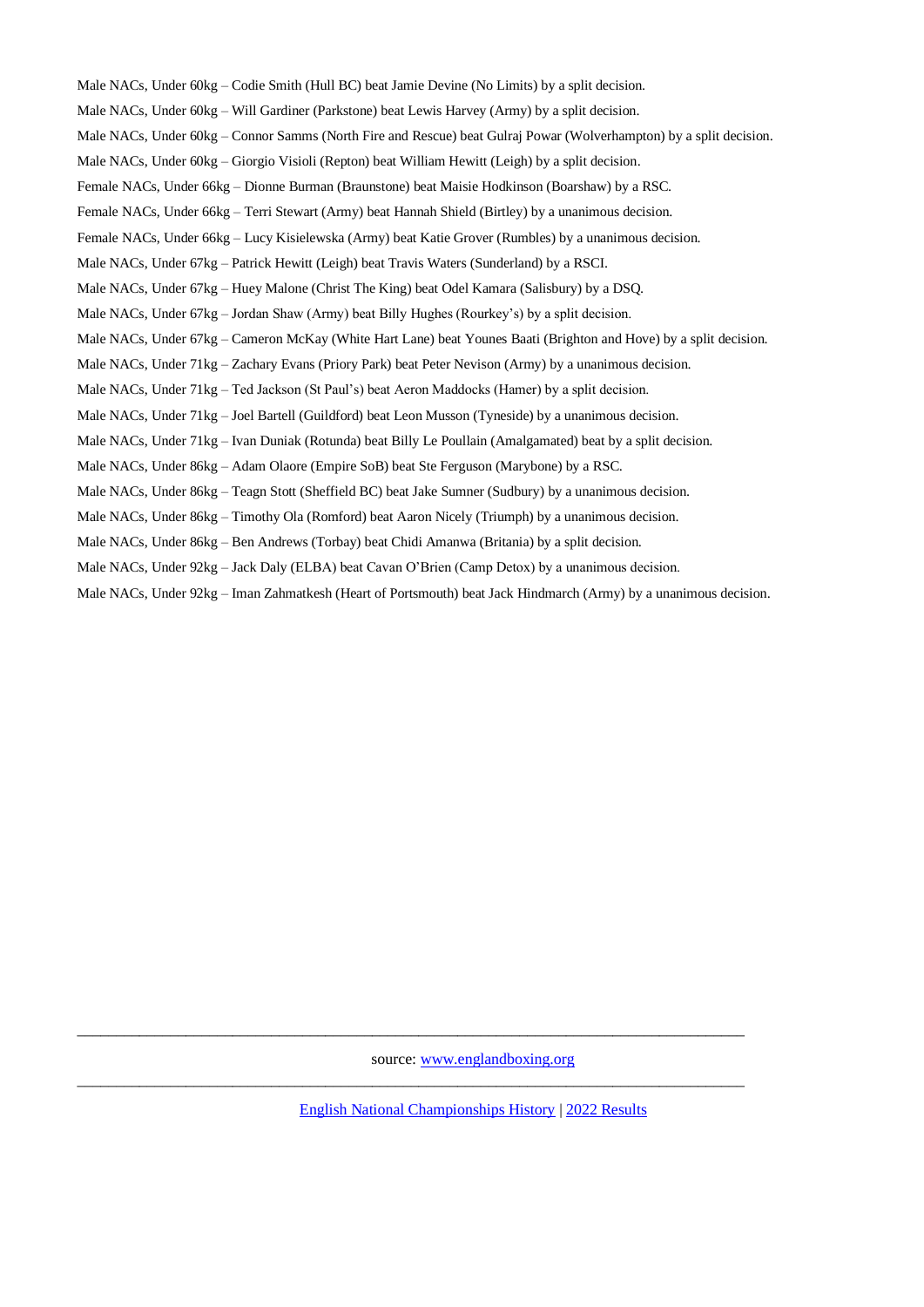Male NACs, Under 60kg – Codie Smith (Hull BC) beat Jamie Devine (No Limits) by a split decision. Male NACs, Under 60kg – Will Gardiner (Parkstone) beat Lewis Harvey (Army) by a split decision. Male NACs, Under 60kg – Connor Samms (North Fire and Rescue) beat Gulraj Powar (Wolverhampton) by a split decision. Male NACs, Under 60kg – Giorgio Visioli (Repton) beat William Hewitt (Leigh) by a split decision. Female NACs, Under 66kg – Dionne Burman (Braunstone) beat Maisie Hodkinson (Boarshaw) by a RSC. Female NACs, Under 66kg – Terri Stewart (Army) beat Hannah Shield (Birtley) by a unanimous decision. Female NACs, Under 66kg – Lucy Kisielewska (Army) beat Katie Grover (Rumbles) by a unanimous decision. Male NACs, Under 67kg – Patrick Hewitt (Leigh) beat Travis Waters (Sunderland) by a RSCI. Male NACs, Under 67kg – Huey Malone (Christ The King) beat Odel Kamara (Salisbury) by a DSQ. Male NACs, Under 67kg – Jordan Shaw (Army) beat Billy Hughes (Rourkey's) by a split decision. Male NACs, Under 67kg – Cameron McKay (White Hart Lane) beat Younes Baati (Brighton and Hove) by a split decision. Male NACs, Under 71kg – Zachary Evans (Priory Park) beat Peter Nevison (Army) by a unanimous decision. Male NACs, Under 71kg – Ted Jackson (St Paul's) beat Aeron Maddocks (Hamer) by a split decision. Male NACs, Under 71kg – Joel Bartell (Guildford) beat Leon Musson (Tyneside) by a unanimous decision. Male NACs, Under 71kg – Ivan Duniak (Rotunda) beat Billy Le Poullain (Amalgamated) beat by a split decision. Male NACs, Under 86kg – Adam Olaore (Empire SoB) beat Ste Ferguson (Marybone) by a RSC. Male NACs, Under 86kg – Teagn Stott (Sheffield BC) beat Jake Sumner (Sudbury) by a unanimous decision. Male NACs, Under 86kg – Timothy Ola (Romford) beat Aaron Nicely (Triumph) by a unanimous decision. Male NACs, Under 86kg – Ben Andrews (Torbay) beat Chidi Amanwa (Britania) by a split decision. Male NACs, Under 92kg – Jack Daly (ELBA) beat Cavan O'Brien (Camp Detox) by a unanimous decision.

Male NACs, Under 92kg – Iman Zahmatkesh (Heart of Portsmouth) beat Jack Hindmarch (Army) by a unanimous decision.

source: [www.englandboxing.org](http://www.englandboxing.org/)

\_\_\_\_\_\_\_\_\_\_\_\_\_\_\_\_\_\_\_\_\_\_\_\_\_\_\_\_\_\_\_\_\_\_\_\_\_\_\_\_\_\_\_\_\_\_\_\_\_\_\_\_\_\_\_\_\_\_\_\_\_\_\_\_\_\_\_\_\_\_\_\_\_\_\_\_\_\_\_\_\_\_\_\_\_\_

\_\_\_\_\_\_\_\_\_\_\_\_\_\_\_\_\_\_\_\_\_\_\_\_\_\_\_\_\_\_\_\_\_\_\_\_\_\_\_\_\_\_\_\_\_\_\_\_\_\_\_\_\_\_\_\_\_\_\_\_\_\_\_\_\_\_\_\_\_\_\_\_\_\_\_\_\_\_\_\_\_\_\_\_\_\_

[English National Championships History](http://amateur-boxing.strefa.pl/Nationalchamps/England.html) | 2022 [Results](http://amateur-boxing.strefa.pl/2022Results.html)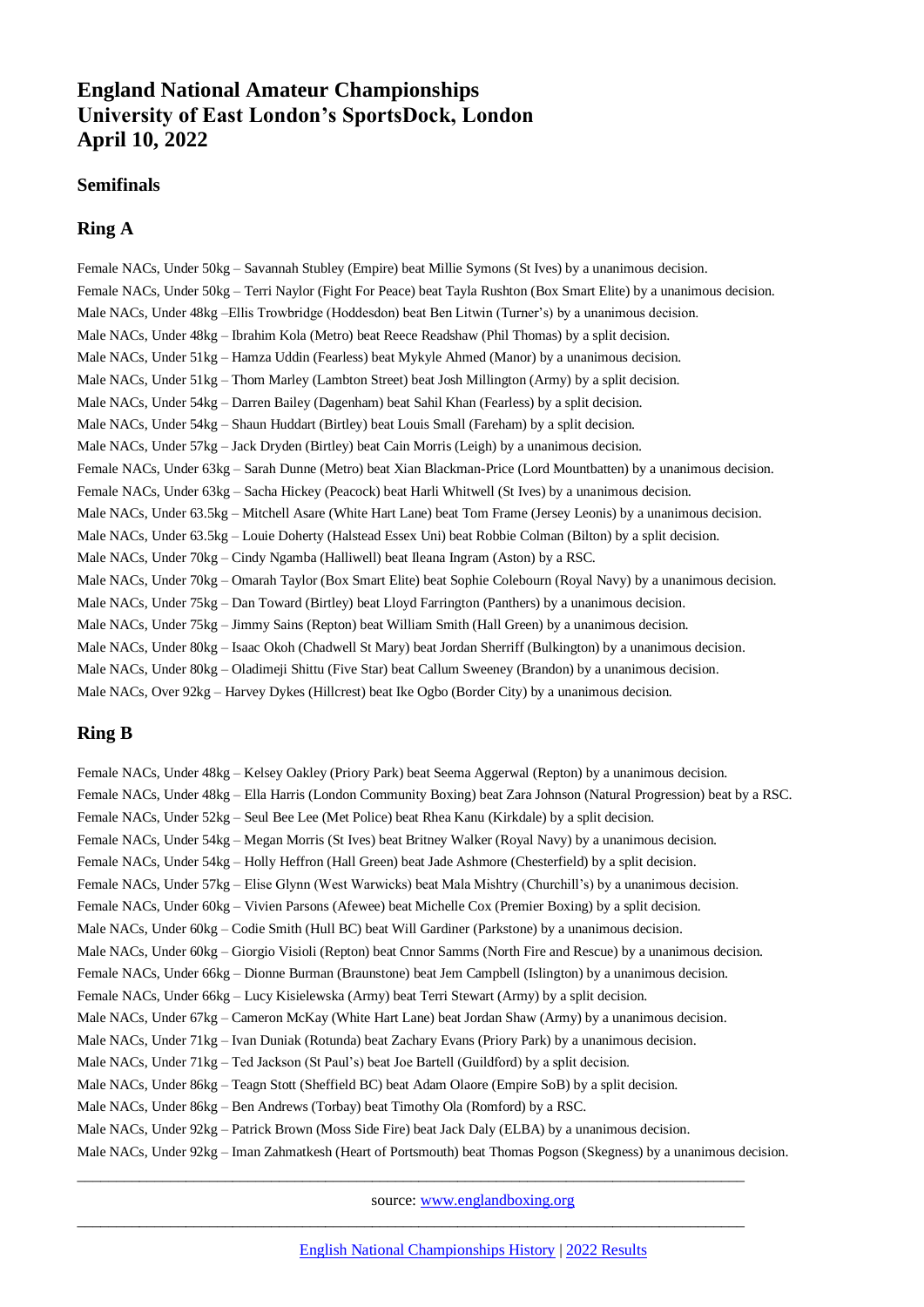# **England National Amateur Championships University of East London's SportsDock, London April 10, 2022**

#### **Semifinals**

### **Ring A**

Female NACs, Under 50kg – Savannah Stubley (Empire) beat Millie Symons (St Ives) by a unanimous decision. Female NACs, Under 50kg – Terri Naylor (Fight For Peace) beat Tayla Rushton (Box Smart Elite) by a unanimous decision. Male NACs, Under 48kg –Ellis Trowbridge (Hoddesdon) beat Ben Litwin (Turner's) by a unanimous decision. Male NACs, Under 48kg – Ibrahim Kola (Metro) beat Reece Readshaw (Phil Thomas) by a split decision. Male NACs, Under 51kg – Hamza Uddin (Fearless) beat Mykyle Ahmed (Manor) by a unanimous decision. Male NACs, Under 51kg – Thom Marley (Lambton Street) beat Josh Millington (Army) by a split decision. Male NACs, Under 54kg – Darren Bailey (Dagenham) beat Sahil Khan (Fearless) by a split decision. Male NACs, Under 54kg – Shaun Huddart (Birtley) beat Louis Small (Fareham) by a split decision. Male NACs, Under 57kg – Jack Dryden (Birtley) beat Cain Morris (Leigh) by a unanimous decision. Female NACs, Under 63kg – Sarah Dunne (Metro) beat Xian Blackman-Price (Lord Mountbatten) by a unanimous decision. Female NACs, Under 63kg – Sacha Hickey (Peacock) beat Harli Whitwell (St Ives) by a unanimous decision. Male NACs, Under 63.5kg – Mitchell Asare (White Hart Lane) beat Tom Frame (Jersey Leonis) by a unanimous decision. Male NACs, Under 63.5kg – Louie Doherty (Halstead Essex Uni) beat Robbie Colman (Bilton) by a split decision. Male NACs, Under 70kg – Cindy Ngamba (Halliwell) beat Ileana Ingram (Aston) by a RSC. Male NACs, Under 70kg – Omarah Taylor (Box Smart Elite) beat Sophie Colebourn (Royal Navy) by a unanimous decision. Male NACs, Under 75kg – Dan Toward (Birtley) beat Lloyd Farrington (Panthers) by a unanimous decision. Male NACs, Under 75kg – Jimmy Sains (Repton) beat William Smith (Hall Green) by a unanimous decision. Male NACs, Under 80kg – Isaac Okoh (Chadwell St Mary) beat Jordan Sherriff (Bulkington) by a unanimous decision. Male NACs, Under 80kg – Oladimeji Shittu (Five Star) beat Callum Sweeney (Brandon) by a unanimous decision. Male NACs, Over 92kg – Harvey Dykes (Hillcrest) beat Ike Ogbo (Border City) by a unanimous decision.

## **Ring B**

Female NACs, Under 48kg – Kelsey Oakley (Priory Park) beat Seema Aggerwal (Repton) by a unanimous decision. Female NACs, Under 48kg – Ella Harris (London Community Boxing) beat Zara Johnson (Natural Progression) beat by a RSC. Female NACs, Under 52kg – Seul Bee Lee (Met Police) beat Rhea Kanu (Kirkdale) by a split decision. Female NACs, Under 54kg – Megan Morris (St Ives) beat Britney Walker (Royal Navy) by a unanimous decision. Female NACs, Under 54kg – Holly Heffron (Hall Green) beat Jade Ashmore (Chesterfield) by a split decision. Female NACs, Under 57kg – Elise Glynn (West Warwicks) beat Mala Mishtry (Churchill's) by a unanimous decision. Female NACs, Under 60kg – Vivien Parsons (Afewee) beat Michelle Cox (Premier Boxing) by a split decision. Male NACs, Under 60kg – Codie Smith (Hull BC) beat Will Gardiner (Parkstone) by a unanimous decision. Male NACs, Under 60kg – Giorgio Visioli (Repton) beat Cnnor Samms (North Fire and Rescue) by a unanimous decision. Female NACs, Under 66kg – Dionne Burman (Braunstone) beat Jem Campbell (Islington) by a unanimous decision. Female NACs, Under 66kg – Lucy Kisielewska (Army) beat Terri Stewart (Army) by a split decision. Male NACs, Under 67kg – Cameron McKay (White Hart Lane) beat Jordan Shaw (Army) by a unanimous decision. Male NACs, Under 71kg – Ivan Duniak (Rotunda) beat Zachary Evans (Priory Park) by a unanimous decision. Male NACs, Under 71kg – Ted Jackson (St Paul's) beat Joe Bartell (Guildford) by a split decision. Male NACs, Under 86kg – Teagn Stott (Sheffield BC) beat Adam Olaore (Empire SoB) by a split decision. Male NACs, Under 86kg – Ben Andrews (Torbay) beat Timothy Ola (Romford) by a RSC. Male NACs, Under 92kg – Patrick Brown (Moss Side Fire) beat Jack Daly (ELBA) by a unanimous decision. Male NACs, Under 92kg – Iman Zahmatkesh (Heart of Portsmouth) beat Thomas Pogson (Skegness) by a unanimous decision.

\_\_\_\_\_\_\_\_\_\_\_\_\_\_\_\_\_\_\_\_\_\_\_\_\_\_\_\_\_\_\_\_\_\_\_\_\_\_\_\_\_\_\_\_\_\_\_\_\_\_\_\_\_\_\_\_\_\_\_\_\_\_\_\_\_\_\_\_\_\_\_\_\_\_\_\_\_\_\_\_\_\_\_\_\_\_

\_\_\_\_\_\_\_\_\_\_\_\_\_\_\_\_\_\_\_\_\_\_\_\_\_\_\_\_\_\_\_\_\_\_\_\_\_\_\_\_\_\_\_\_\_\_\_\_\_\_\_\_\_\_\_\_\_\_\_\_\_\_\_\_\_\_\_\_\_\_\_\_\_\_\_\_\_\_\_\_\_\_\_\_\_\_

source: [www.englandboxing.org](http://www.englandboxing.org/)